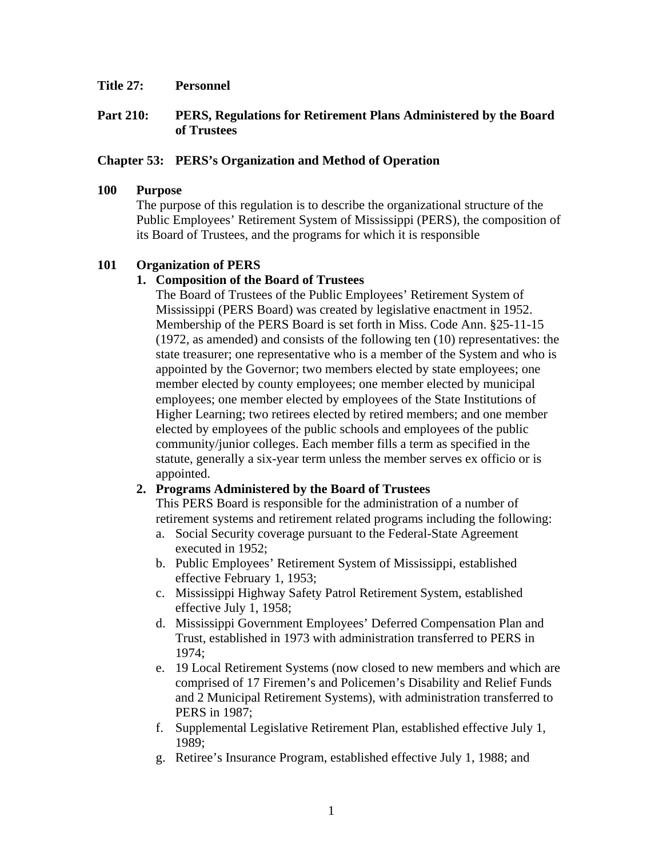#### **Title 27: Personnel**

## **Part 210: PERS, Regulations for Retirement Plans Administered by the Board of Trustees**

## **Chapter 53: PERS's Organization and Method of Operation**

#### **100 Purpose**

The purpose of this regulation is to describe the organizational structure of the Public Employees' Retirement System of Mississippi (PERS), the composition of its Board of Trustees, and the programs for which it is responsible

# **101 Organization of PERS**

# **1. Composition of the Board of Trustees**

The Board of Trustees of the Public Employees' Retirement System of Mississippi (PERS Board) was created by legislative enactment in 1952. Membership of the PERS Board is set forth in Miss. Code Ann. §25-11-15 (1972, as amended) and consists of the following ten (10) representatives: the state treasurer; one representative who is a member of the System and who is appointed by the Governor; two members elected by state employees; one member elected by county employees; one member elected by municipal employees; one member elected by employees of the State Institutions of Higher Learning; two retirees elected by retired members; and one member elected by employees of the public schools and employees of the public community/junior colleges. Each member fills a term as specified in the statute, generally a six-year term unless the member serves ex officio or is appointed.

# **2. Programs Administered by the Board of Trustees**

This PERS Board is responsible for the administration of a number of retirement systems and retirement related programs including the following:

- a. Social Security coverage pursuant to the Federal-State Agreement executed in 1952;
- b. Public Employees' Retirement System of Mississippi, established effective February 1, 1953;
- c. Mississippi Highway Safety Patrol Retirement System, established effective July 1, 1958;
- d. Mississippi Government Employees' Deferred Compensation Plan and Trust, established in 1973 with administration transferred to PERS in 1974;
- e. 19 Local Retirement Systems (now closed to new members and which are comprised of 17 Firemen's and Policemen's Disability and Relief Funds and 2 Municipal Retirement Systems), with administration transferred to PERS in 1987;
- f. Supplemental Legislative Retirement Plan, established effective July 1, 1989;
- g. Retiree's Insurance Program, established effective July 1, 1988; and